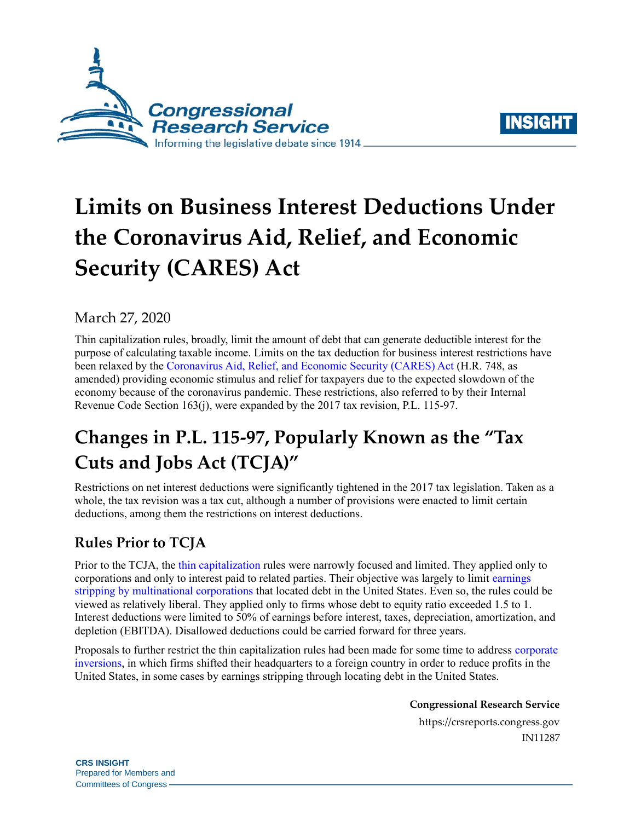



# **Limits on Business Interest Deductions Under the Coronavirus Aid, Relief, and Economic Security (CARES) Act**

#### March 27, 2020

Thin capitalization rules, broadly, limit the amount of debt that can generate deductible interest for the purpose of calculating taxable income. Limits on the tax deduction for business interest restrictions have been relaxed by the [Coronavirus Aid, Relief, and Economic Security \(CARES\) Act](https://crsreports.congress.gov/product/pdf/R/R46279) [\(H.R. 748,](http://www.congress.gov/cgi-lis/bdquery/z?d116:H.R.748:) as amended) providing economic stimulus and relief for taxpayers due to the expected slowdown of the economy because of the coronavirus pandemic. These restrictions, also referred to by their Internal Revenue Code Section 163(j), were expanded by the 2017 tax revision, [P.L. 115-97.](http://www.congress.gov/cgi-lis/bdquery/R?d115:FLD002:@1(115+97))

## **Changes in [P.L. 115-97,](http://www.congress.gov/cgi-lis/bdquery/R?d115:FLD002:@1(115+97)) Popularly Known as the "Tax Cuts and Jobs Act (TCJA)"**

Restrictions on net interest deductions were significantly tightened in the 2017 tax legislation. Taken as a whole, the tax revision was a tax cut, although a number of provisions were enacted to limit certain deductions, among them the restrictions on interest deductions.

### **Rules Prior to TCJA**

Prior to the TCJA, the [thin capitalization](https://taxfoundation.org/thin-cap-rules-economics/) rules were narrowly focused and limited. They applied only to corporations and only to interest paid to related parties. Their objective was largely to limit [earnings](https://www.floridabar.org/the-florida-bar-journal/its-in-your-interest-new163js-limitations-on-business-interest-deductions/)  [stripping by multinational corporations](https://www.floridabar.org/the-florida-bar-journal/its-in-your-interest-new163js-limitations-on-business-interest-deductions/) that located debt in the United States. Even so, the rules could be viewed as relatively liberal. They applied only to firms whose debt to equity ratio exceeded 1.5 to 1. Interest deductions were limited to 50% of earnings before interest, taxes, depreciation, amortization, and depletion (EBITDA). Disallowed deductions could be carried forward for three years.

Proposals to further restrict the thin capitalization rules had been made for some time to address [corporate](https://crsreports.congress.gov/product/pdf/R/R43568)  [inversions,](https://crsreports.congress.gov/product/pdf/R/R43568) in which firms shifted their headquarters to a foreign country in order to reduce profits in the United States, in some cases by earnings stripping through locating debt in the United States.

**Congressional Research Service**

https://crsreports.congress.gov IN11287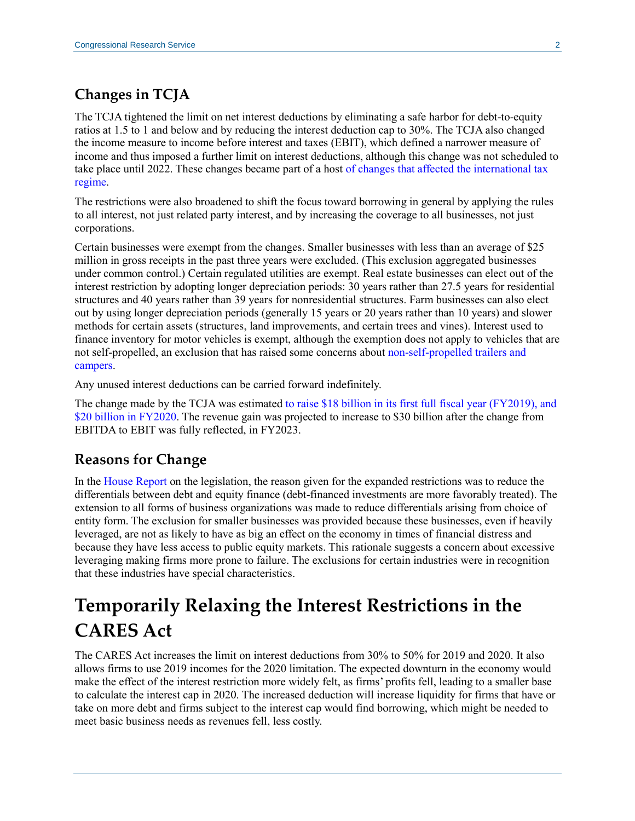#### **Changes in TCJA**

The TCJA tightened the limit on net interest deductions by eliminating a safe harbor for debt-to-equity ratios at 1.5 to 1 and below and by reducing the interest deduction cap to 30%. The TCJA also changed the income measure to income before interest and taxes (EBIT), which defined a narrower measure of income and thus imposed a further limit on interest deductions, although this change was not scheduled to take place until 2022. These changes became part of a host [of changes that affected the international tax](https://crsreports.congress.gov/product/pdf/R/R45186)  [regime.](https://crsreports.congress.gov/product/pdf/R/R45186)

The restrictions were also broadened to shift the focus toward borrowing in general by applying the rules to all interest, not just related party interest, and by increasing the coverage to all businesses, not just corporations.

Certain businesses were exempt from the changes. Smaller businesses with less than an average of \$25 million in gross receipts in the past three years were excluded. (This exclusion aggregated businesses under common control.) Certain regulated utilities are exempt. Real estate businesses can elect out of the interest restriction by adopting longer depreciation periods: 30 years rather than 27.5 years for residential structures and 40 years rather than 39 years for nonresidential structures. Farm businesses can also elect out by using longer depreciation periods (generally 15 years or 20 years rather than 10 years) and slower methods for certain assets (structures, land improvements, and certain trees and vines). Interest used to finance inventory for motor vehicles is exempt, although the exemption does not apply to vehicles that are not self-propelled, an exclusion that has raised some concerns about [non-self-propelled trailers and](https://crsreports.congress.gov/product/pdf/IN/IN11175)  [campers.](https://crsreports.congress.gov/product/pdf/IN/IN11175)

Any unused interest deductions can be carried forward indefinitely.

The change made by the TCJA was estimated [to raise \\$18 billion in its first full fiscal year \(FY2019\), and](https://www.jct.gov/publications.html?func=startdown&id=5053)  [\\$20 billion in FY2020.](https://www.jct.gov/publications.html?func=startdown&id=5053) The revenue gain was projected to increase to \$30 billion after the change from EBITDA to EBIT was fully reflected, in FY2023.

#### **Reasons for Change**

In the [House Report](https://www.congress.gov/congressional-report/115th-congress/house-report/409/1?overview=closed) on the legislation, the reason given for the expanded restrictions was to reduce the differentials between debt and equity finance (debt-financed investments are more favorably treated). The extension to all forms of business organizations was made to reduce differentials arising from choice of entity form. The exclusion for smaller businesses was provided because these businesses, even if heavily leveraged, are not as likely to have as big an effect on the economy in times of financial distress and because they have less access to public equity markets. This rationale suggests a concern about excessive leveraging making firms more prone to failure. The exclusions for certain industries were in recognition that these industries have special characteristics.

### **Temporarily Relaxing the Interest Restrictions in the CARES Act**

The CARES Act increases the limit on interest deductions from 30% to 50% for 2019 and 2020. It also allows firms to use 2019 incomes for the 2020 limitation. The expected downturn in the economy would make the effect of the interest restriction more widely felt, as firms' profits fell, leading to a smaller base to calculate the interest cap in 2020. The increased deduction will increase liquidity for firms that have or take on more debt and firms subject to the interest cap would find borrowing, which might be needed to meet basic business needs as revenues fell, less costly.